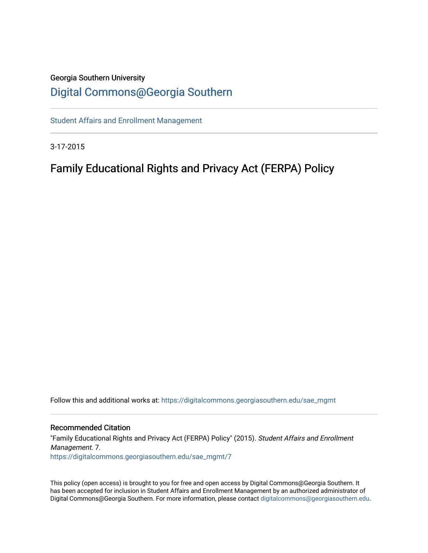# Georgia Southern University

## [Digital Commons@Georgia Southern](https://digitalcommons.georgiasouthern.edu/)

[Student Affairs and Enrollment Management](https://digitalcommons.georgiasouthern.edu/sae_mgmt)

3-17-2015

### Family Educational Rights and Privacy Act (FERPA) Policy

Follow this and additional works at: [https://digitalcommons.georgiasouthern.edu/sae\\_mgmt](https://digitalcommons.georgiasouthern.edu/sae_mgmt?utm_source=digitalcommons.georgiasouthern.edu%2Fsae_mgmt%2F7&utm_medium=PDF&utm_campaign=PDFCoverPages) 

#### Recommended Citation

"Family Educational Rights and Privacy Act (FERPA) Policy" (2015). Student Affairs and Enrollment Management. 7. [https://digitalcommons.georgiasouthern.edu/sae\\_mgmt/7](https://digitalcommons.georgiasouthern.edu/sae_mgmt/7?utm_source=digitalcommons.georgiasouthern.edu%2Fsae_mgmt%2F7&utm_medium=PDF&utm_campaign=PDFCoverPages) 

This policy (open access) is brought to you for free and open access by Digital Commons@Georgia Southern. It has been accepted for inclusion in Student Affairs and Enrollment Management by an authorized administrator of Digital Commons@Georgia Southern. For more information, please contact [digitalcommons@georgiasouthern.edu.](mailto:digitalcommons@georgiasouthern.edu)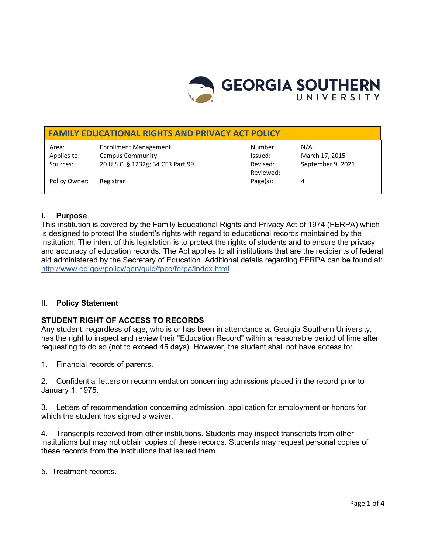

#### **FAMILY EDUCATIONAL RIGHTS AND PRIVACY ACT POLICY**

Area: Enrollment Management Number: N/A Applies to: Campus Community Community Community Community Community Community Community Community Community Community Community Community Community Community Community Community Community Community Community Community Com Sources: 20 U.S.C. § 1232g; 34 CFR Part 99 Revised: September 9. 2021

Reviewed:

Policy Owner: Registrar Page(s): 4

#### **I. Purpose**

This institution is covered by the Family Educational Rights and Privacy Act of 1974 (FERPA) which is designed to protect the student's rights with regard to educational records maintained by the institution. The intent of this legislation is to protect the rights of students and to ensure the privacy and accuracy of education records. The Act applies to all institutions that are the recipients of federal aid administered by the Secretary of Education. Additional details regarding FERPA can be found at: <http://www.ed.gov/policy/gen/guid/fpco/ferpa/index.html>

#### II. **Policy Statement**

#### **STUDENT RIGHT OF ACCESS TO RECORDS**

Any student, regardless of age, who is or has been in attendance at Georgia Southern University, has the right to inspect and review their "Education Record" within a reasonable period of time after requesting to do so (not to exceed 45 days). However, the student shall not have access to:

1. Financial records of parents.

2. Confidential letters or recommendation concerning admissions placed in the record prior to January 1, 1975.

3. Letters of recommendation concerning admission, application for employment or honors for which the student has signed a waiver.

4. Transcripts received from other institutions. Students may inspect transcripts from other institutions but may not obtain copies of these records. Students may request personal copies of these records from the institutions that issued them.

5. Treatment records.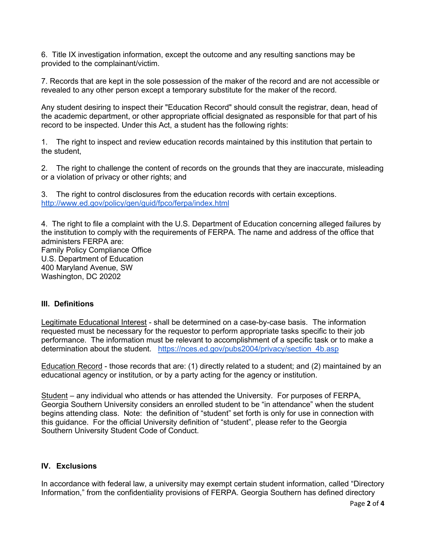6. Title IX investigation information, except the outcome and any resulting sanctions may be provided to the complainant/victim.

7. Records that are kept in the sole possession of the maker of the record and are not accessible or revealed to any other person except a temporary substitute for the maker of the record.

Any student desiring to inspect their "Education Record" should consult the registrar, dean, head of the academic department, or other appropriate official designated as responsible for that part of his record to be inspected. Under this Act, a student has the following rights:

1. The right to inspect and review education records maintained by this institution that pertain to the student,

2. The right to challenge the content of records on the grounds that they are inaccurate, misleading or a violation of privacy or other rights; and

3. The right to control disclosures from the education records with certain exceptions. <http://www.ed.gov/policy/gen/guid/fpco/ferpa/index.html>

4. The right to file a complaint with the U.S. Department of Education concerning alleged failures by the institution to comply with the requirements of FERPA. The name and address of the office that administers FERPA are: Family Policy Compliance Office U.S. Department of Education 400 Maryland Avenue, SW Washington, DC 20202

#### **III. Definitions**

Legitimate Educational Interest - shall be determined on a case-by-case basis. The information requested must be necessary for the requestor to perform appropriate tasks specific to their job performance. The information must be relevant to accomplishment of a specific task or to make a determination about the student. [https://nces.ed.gov/pubs2004/privacy/section\\_4b.asp](https://nces.ed.gov/pubs2004/privacy/section_4b.asp)

Education Record - those records that are: (1) directly related to a student; and (2) maintained by an educational agency or institution, or by a party acting for the agency or institution.

Student – any individual who attends or has attended the University. For purposes of FERPA, Georgia Southern University considers an enrolled student to be "in attendance" when the student begins attending class. Note: the definition of "student" set forth is only for use in connection with this guidance. For the official University definition of "student", please refer to the Georgia Southern University Student Code of Conduct.

#### **IV. Exclusions**

In accordance with federal law, a university may exempt certain student information, called "Directory Information," from the confidentiality provisions of FERPA. Georgia Southern has defined directory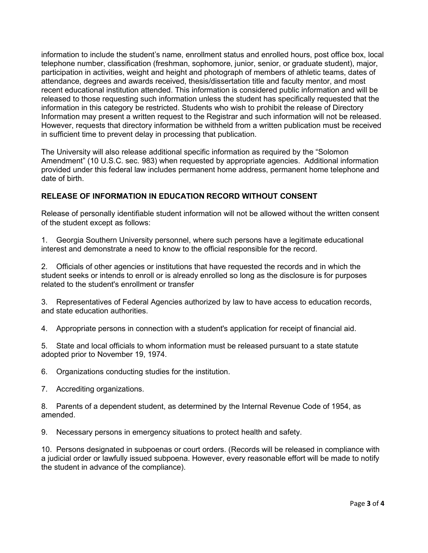information to include the student's name, enrollment status and enrolled hours, post office box, local telephone number, classification (freshman, sophomore, junior, senior, or graduate student), major, participation in activities, weight and height and photograph of members of athletic teams, dates of attendance, degrees and awards received, thesis/dissertation title and faculty mentor, and most recent educational institution attended. This information is considered public information and will be released to those requesting such information unless the student has specifically requested that the information in this category be restricted. Students who wish to prohibit the release of Directory Information may present a written request to the Registrar and such information will not be released. However, requests that directory information be withheld from a written publication must be received in sufficient time to prevent delay in processing that publication.

The University will also release additional specific information as required by the "Solomon Amendment" (10 U.S.C. sec. 983) when requested by appropriate agencies. Additional information provided under this federal law includes permanent home address, permanent home telephone and date of birth.

#### **RELEASE OF INFORMATION IN EDUCATION RECORD WITHOUT CONSENT**

Release of personally identifiable student information will not be allowed without the written consent of the student except as follows:

1. Georgia Southern University personnel, where such persons have a legitimate educational interest and demonstrate a need to know to the official responsible for the record.

2. Officials of other agencies or institutions that have requested the records and in which the student seeks or intends to enroll or is already enrolled so long as the disclosure is for purposes related to the student's enrollment or transfer

3. Representatives of Federal Agencies authorized by law to have access to education records, and state education authorities.

4. Appropriate persons in connection with a student's application for receipt of financial aid.

5. State and local officials to whom information must be released pursuant to a state statute adopted prior to November 19, 1974.

6. Organizations conducting studies for the institution.

7. Accrediting organizations.

8. Parents of a dependent student, as determined by the Internal Revenue Code of 1954, as amended.

9. Necessary persons in emergency situations to protect health and safety.

10. Persons designated in subpoenas or court orders. (Records will be released in compliance with a judicial order or lawfully issued subpoena. However, every reasonable effort will be made to notify the student in advance of the compliance).